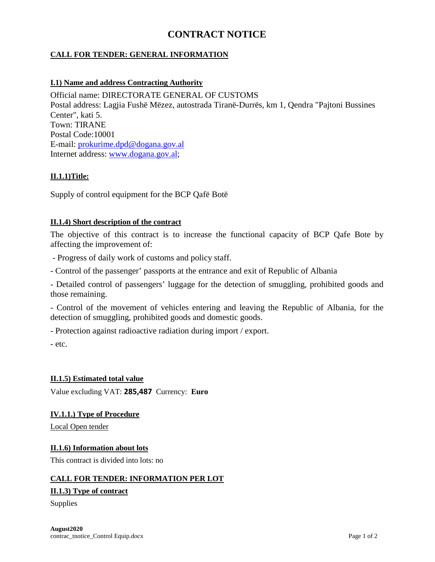# **CONTRACT NOTICE**

# **CALL FOR TENDER: GENERAL INFORMATION**

## **I.1) Name and address Contracting Authority**

Official name: DIRECTORATE GENERAL OF CUSTOMS Postal address: Lagjia Fushë Mëzez, autostrada Tiranë-Durrës, km 1, Qendra "Pajtoni Bussines Center", kati 5. Town: TIRANE Postal Code:10001 E-mail: [prokurime.dpd@dogana.gov.al](mailto:prokurime@dogana.gov.al) Internet address: [www.dogana.gov.al;](http://www.dogana.gov.al/)

## **II.1.1)Title:**

Supply of control equipment for the BCP Qafë Botë

## **II.1.4) Short description of the contract**

The objective of this contract is to increase the functional capacity of BCP Qafe Bote by affecting the improvement of:

- Progress of daily work of customs and policy staff.
- Control of the passenger' passports at the entrance and exit of Republic of Albania

- Detailed control of passengers' luggage for the detection of smuggling, prohibited goods and those remaining.

- Control of the movement of vehicles entering and leaving the Republic of Albania, for the detection of smuggling, prohibited goods and domestic goods.

- Protection against radioactive radiation during import / export.

- etc.

## **II.1.5) Estimated total value**

Value excluding VAT: **285,487** Currency: **Euro**

#### **IV.1.1.) Type of Procedure**

Local Open tender

#### **II.1.6) Information about lots**

This contract is divided into lots: no

#### **CALL FOR TENDER: INFORMATION PER LOT**

#### **II.1.3) Type of contract**

Supplies